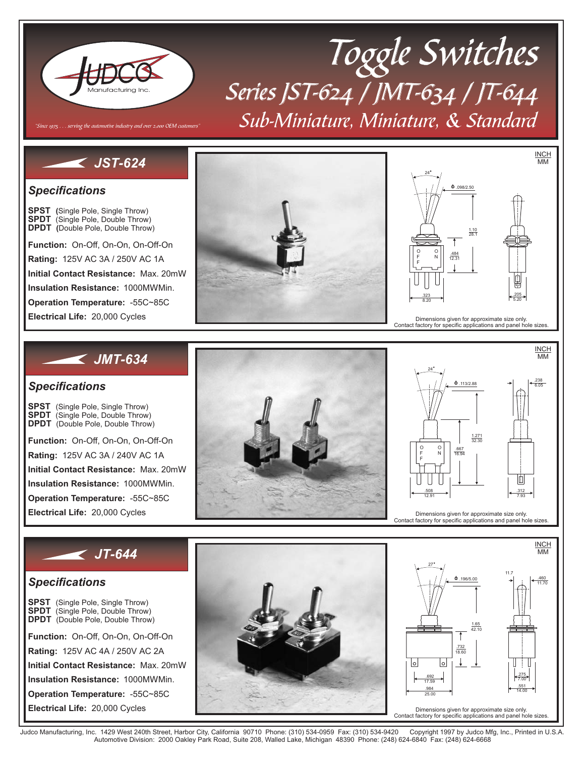

# Sub-Miniature, Miniature, & Standard Toggle Switches Series JST-624 / JMT-634 / JT-644

## *JST-624*

Since 1975  $\dots$  serving the automotive industry and over 2,000 OEM customers

### *Specifications*

**SPDT** (Single Pole, Double Throw) **( SPST** (Single Pole, Single Throw) DPDT (Double Pole, Double Throw)

**Rating: Initial Contact Resistance: Insulation Resistance: Operation Temperature: Function:** On-Off, On-On, On-Off-On  $1000MΩ$  Min. Rating: 125V AC 3A / 250V AC 1A Max. 20m Ω -55C~85C 20,000 Cycles





Dimensions given for approximate size only. Contact factory for specific applications and panel hole sizes.

 $\Phi$ . 113/2.88

16.94 .667

24

O F F

O N

Dimensions given for approximate size only. Contact factory for specific applications and panel hole sizes.

12.91 7.93 .508 **.** 312

32.30 1.271

**INCH MMA** 

11.70 .460

14.00 .551

7.00 .275

11.7

INCH MM

6.05

.238

### *JMT-634*

### *Specifications*

**SPDT** (Single Pole, Double Throw) **DPDT** (Double Pole, Double Throw) SPST (Single Pole, Single Throw)

**Function:** On-Off, On-On, On-Off-On

**Rating:** Rating: 125V AC 3A / 240V AC 1A

**Initial Contact Resistance:** Max. 20m Ω

Min. **Insulation Resistance:** 1000M Ω

**Operation Temperature:** -55C~85C

20,000 Cycles

## *JT-644*

### *Specifications*

**SPDT** (Single Pole, Double Throw) **SPDT DPDT** (Double Pole, Double Throw) **SPST** (Single Pole, Single Throw)

**Function:** On-Off, On-On, On-Off-On Min. **Rating: Initial Contact Resistance: Insulation Resistance: Operation Temperature:** Rating: 125V AC 4A / 250V AC 2A Max. 20m Ω 1000M Ω -55C~85C 20,000 Cycles



Judco Manufacturing, Inc. 1429 West 240th Street, Harbor City, California 90710 Phone: (310) 534-0959 Fax: (310) 534-9420 Copyright 1997 by Judco Mfg, Inc., Printed in U.S.A.<br>Automotive Division: 2000 Oakley Park R